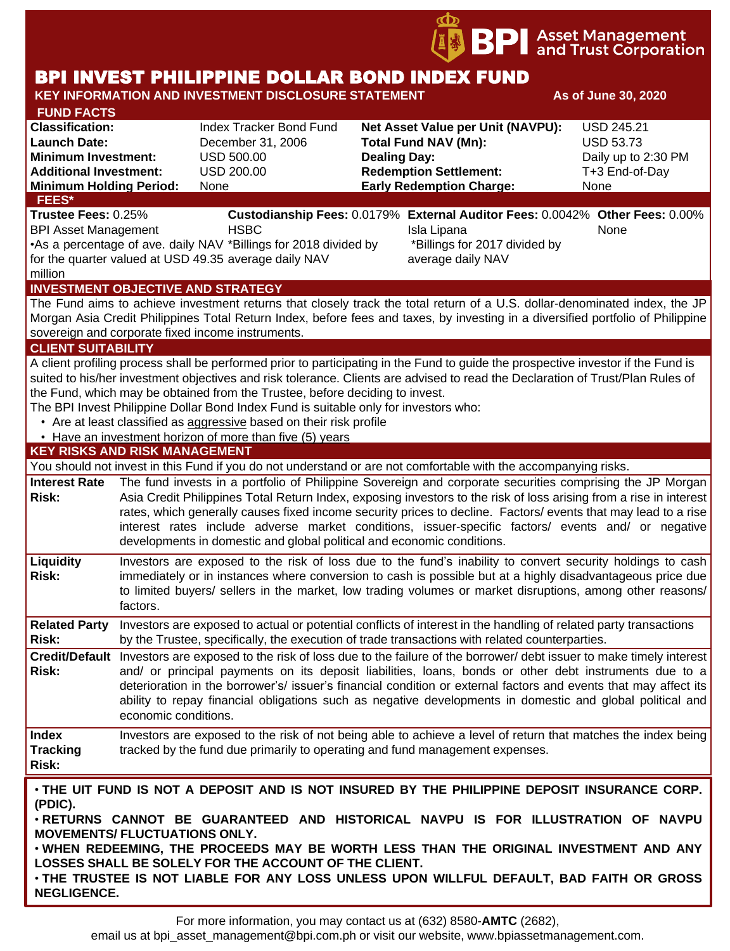

# BPI INVEST PHILIPPINE DOLLAR BOND INDEX FUND

#### **KEY INFORMATION AND INVESTMENT DISCLOSURE STATEMENT And As of June 30, 2020 FUND FACTS Classification:** Index Tracker Bond Fund **Net Asset Value per Unit (NAVPU):** USD 245.21 **Launch Date:** December 31, 2006 **Total Fund NAV (Mn):** USD 53.73 **Minimum Investment:** USD 500.00 **Dealing Day:** Dealing Day: Daily up to 2:30 PM **Additional Investment:** USD 200.00 **Redemption Settlement:** T+3 End-of-Day **Minimum Holding Period:** None **Early Redemption Charge:** None **KEY RISKS AND RISK MANAGEMENT**  You should not invest in this Fund if you do not understand or are not comfortable with the accompanying risks. **Interest Rate**  The fund invests in a portfolio of Philippine Sovereign and corporate securities comprising the JP Morgan **Risk:** Asia Credit Philippines Total Return Index, exposing investors to the risk of loss arising from a rise in interest rates, which generally causes fixed income security prices to decline. Factors/ events that may lead to a rise interest rates include adverse market conditions, issuer-specific factors/ events and/ or negative developments in domestic and global political and economic conditions. **Liquidity Risk:** Investors are exposed to the risk of loss due to the fund's inability to convert security holdings to cash immediately or in instances where conversion to cash is possible but at a highly disadvantageous price due to limited buyers/ sellers in the market, low trading volumes or market disruptions, among other reasons/ factors. **Related Party**  Investors are exposed to actual or potential conflicts of interest in the handling of related party transactions **Risk:** by the Trustee, specifically, the execution of trade transactions with related counterparties. **Credit/Default**  Investors are exposed to the risk of loss due to the failure of the borrower/ debt issuer to make timely interest **Risk:** and/ or principal payments on its deposit liabilities, loans, bonds or other debt instruments due to a deterioration in the borrower's/ issuer's financial condition or external factors and events that may affect its ability to repay financial obligations such as negative developments in domestic and global political and economic conditions. **Index Tracking Risk:** Investors are exposed to the risk of not being able to achieve a level of return that matches the index being tracked by the fund due primarily to operating and fund management expenses. **INVESTMENT OBJECTIVE AND STRATEGY** The Fund aims to achieve investment returns that closely track the total return of a U.S. dollar-denominated index, the JP Morgan Asia Credit Philippines Total Return Index, before fees and taxes, by investing in a diversified portfolio of Philippine sovereign and corporate fixed income instruments. **CLIENT SUITABILITY** A client profiling process shall be performed prior to participating in the Fund to guide the prospective investor if the Fund is suited to his/her investment objectives and risk tolerance. Clients are advised to read the Declaration of Trust/Plan Rules of the Fund, which may be obtained from the Trustee, before deciding to invest. The BPI Invest Philippine Dollar Bond Index Fund is suitable only for investors who: • Are at least classified as aggressive based on their risk profile • Have an investment horizon of more than five (5) years • **THE UIT FUND IS NOT A DEPOSIT AND IS NOT INSURED BY THE PHILIPPINE DEPOSIT INSURANCE CORP. (PDIC).** • **RETURNS CANNOT BE GUARANTEED AND HISTORICAL NAVPU IS FOR ILLUSTRATION OF NAVPU MOVEMENTS/ FLUCTUATIONS ONLY.** • **WHEN REDEEMING, THE PROCEEDS MAY BE WORTH LESS THAN THE ORIGINAL INVESTMENT AND ANY FEES\* Trustee Fees:** 0.25% **Custodianship Fees:** 0.0179% **External Auditor Fees:** 0.0042% **Other Fees:** 0.00% BPI Asset Management **HSBC Isla Lipana** Isla Lipana None •As a percentage of ave. daily NAV \*Billings for 2018 divided by for the quarter valued at USD 49.35 average daily NAV million \*Billings for 2017 divided by average daily NAV

**LOSSES SHALL BE SOLELY FOR THE ACCOUNT OF THE CLIENT.** • **THE TRUSTEE IS NOT LIABLE FOR ANY LOSS UNLESS UPON WILLFUL DEFAULT, BAD FAITH OR GROSS**

For more information, you may contact us at (632) 8580-**AMTC** (2682),

**NEGLIGENCE.**

email us at bpi asset management@bpi.com.ph or visit our website, www.bpiassetmanagement.com.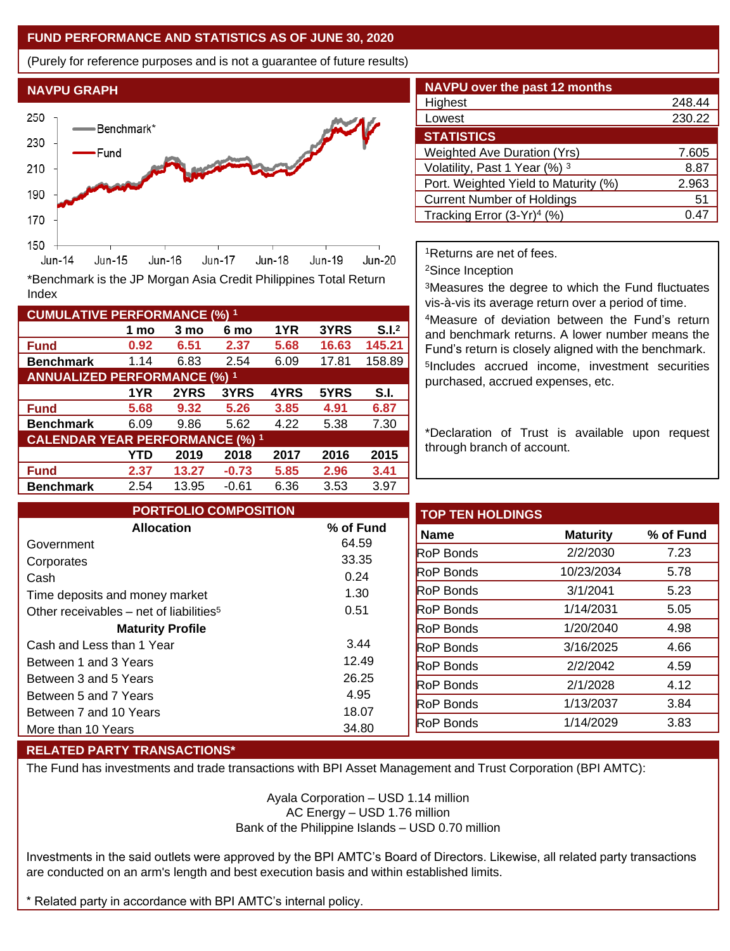## **FUND PERFORMANCE AND STATISTICS AS OF JUNE 30, 2020**

(Purely for reference purposes and is not a guarantee of future results)



**Fund 0.92 6.51 2.37 5.68 16.63 145.21 Benchmark** 1.14 6.83 2.54 6.09 17.81 158.89

\*Benchmark is the JP Morgan Asia Credit Philippines Total Return

**Fund 5.68 9.32 5.26 3.85 4.91 6.87 Benchmark** 6.09 9.86 5.62 4.22 5.38 7.30

**Fund 2.37 13.27 -0.73 5.85 2.96 3.41 Benchmark** 2.54 13.95 -0.61 6.36 3.53 3.97

**1 mo 3 mo 6 mo 1YR 3YRS S.I.<sup>2</sup>**

**1YR 2YRS 3YRS 4YRS 5YRS S.I.**

**YTD 2019 2018 2017 2016 2015**

| <b>NAVPU over the past 12 months</b>   |        |
|----------------------------------------|--------|
| Highest                                | 248.44 |
| Lowest                                 | 230.22 |
| <b>STATISTICS</b>                      |        |
| <b>Weighted Ave Duration (Yrs)</b>     | 7.605  |
| Volatility, Past 1 Year (%) 3          | 8.87   |
| Port. Weighted Yield to Maturity (%)   | 2.963  |
| <b>Current Number of Holdings</b>      | 51     |
| Tracking Error (3-Yr) <sup>4</sup> (%) | 0.47   |

<sup>1</sup>Returns are net of fees.

<sup>2</sup>Since Inception

<sup>3</sup>Measures the degree to which the Fund fluctuates vis-à-vis its average return over a period of time.

<sup>4</sup>Measure of deviation between the Fund's return and benchmark returns. A lower number means the Fund's return is closely aligned with the benchmark. 5 Includes accrued income, investment securities purchased, accrued expenses, etc.

\*Declaration of Trust is available upon request through branch of account.

| <b>PORTFOLIO COMPOSITION</b>                        |           | <b>TOP TEN HOLDINGS</b> |                 |
|-----------------------------------------------------|-----------|-------------------------|-----------------|
| <b>Allocation</b>                                   | % of Fund | Name                    | <b>Maturity</b> |
| Government                                          | 64.59     | <b>RoP Bonds</b>        | 2/2/2030        |
| Corporates                                          | 33.35     | <b>RoP Bonds</b>        | 10/23/2034      |
| Cash                                                | 0.24      |                         |                 |
| Time deposits and money market                      | 1.30      | <b>RoP Bonds</b>        | 3/1/2041        |
| Other receivables – net of liabilities <sup>5</sup> | 0.51      | <b>RoP Bonds</b>        | 1/14/2031       |
| <b>Maturity Profile</b>                             |           | <b>RoP Bonds</b>        | 1/20/2040       |
| Cash and Less than 1 Year                           | 3.44      | <b>RoP Bonds</b>        | 3/16/2025       |
| Between 1 and 3 Years                               | 12.49     | <b>RoP Bonds</b>        | 2/2/2042        |
| Between 3 and 5 Years                               | 26.25     | <b>RoP Bonds</b>        | 2/1/2028        |
| Between 5 and 7 Years                               | 4.95      | <b>RoP Bonds</b>        | 1/13/2037       |
| Between 7 and 10 Years                              | 18.07     |                         |                 |
| More than 10 Years                                  | 34.80     | <b>RoP Bonds</b>        | 1/14/2029       |

#### **RELATED PARTY TRANSACTIONS\***

**CUMULATIVE PERFORMANCE (%) <sup>1</sup>**

Index

**ANNUALIZED PERFORMANCE (%) <sup>1</sup>**

**CALENDAR YEAR PERFORMANCE (%) <sup>1</sup>**

The Fund has investments and trade transactions with BPI Asset Management and Trust Corporation (BPI AMTC):

Ayala Corporation – USD 1.14 million AC Energy – USD 1.76 million Bank of the Philippine Islands – USD 0.70 million

Investments in the said outlets were approved by the BPI AMTC's Board of Directors. Likewise, all related party transactions are conducted on an arm's length and best execution basis and within established limits.

\* Related party in accordance with BPI AMTC's internal policy.